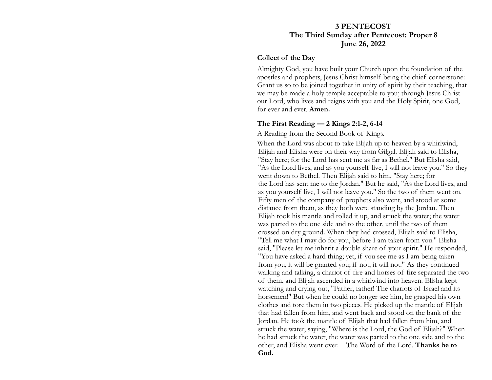## **3 PENTECOST The Third Sunday after Pentecost: Proper 8 June 26, 2022**

#### **Collect of the Day**

Almighty God, you have built your Church upon the foundation of the apostles and prophets, Jesus Christ himself being the chief cornerstone: Grant us so to be joined together in unity of spirit by their teaching, that we may be made a holy temple acceptable to you; through Jesus Christ our Lord, who lives and reigns with you and the Holy Spirit, one God, for ever and ever. **Amen.**

#### **The First Reading — 2 Kings 2:1-2, 6-14**

A Reading from the Second Book of Kings.

When the Lord was about to take Elijah up to heaven by a whirlwind, Elijah and Elisha were on their way from Gilgal. Elijah said to Elisha, "Stay here; for the Lord has sent me as far as Bethel." But Elisha said, "As the Lord lives, and as you yourself live, I will not leave you." So they went down to Bethel. Then Elijah said to him, "Stay here; for the Lord has sent me to the Jordan." But he said, "As the Lord lives, and as you yourself live, I will not leave you." So the two of them went on. Fifty men of the company of prophets also went, and stood at some distance from them, as they both were standing by the Jordan. Then Elijah took his mantle and rolled it up, and struck the water; the water was parted to the one side and to the other, until the two of them crossed on dry ground. When they had crossed, Elijah said to Elisha, "Tell me what I may do for you, before I am taken from you." Elisha said, "Please let me inherit a double share of your spirit." He responded, "You have asked a hard thing; yet, if you see me as I am being taken from you, it will be granted you; if not, it will not." As they continued walking and talking, a chariot of fire and horses of fire separated the two of them, and Elijah ascended in a whirlwind into heaven. Elisha kept watching and crying out, "Father, father! The chariots of Israel and its horsemen!" But when he could no longer see him, he grasped his own clothes and tore them in two pieces. He picked up the mantle of Elijah that had fallen from him, and went back and stood on the bank of the Jordan. He took the mantle of Elijah that had fallen from him, and struck the water, saying, "Where is the Lord, the God of Elijah?" When he had struck the water, the water was parted to the one side and to the other, and Elisha went over. The Word of the Lord. **Thanks be to God.**